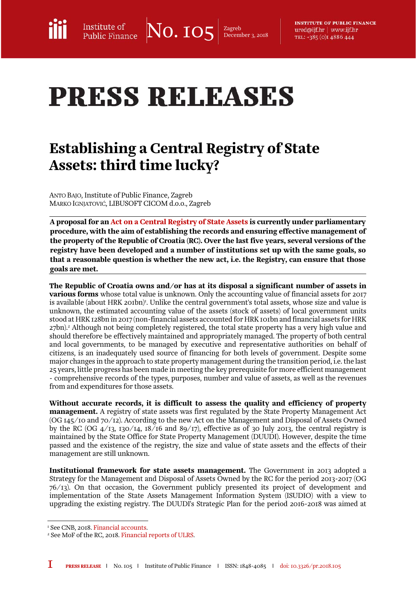**INSTITUTE OF PUBLIC FINANCE** ured@ijf.hr | www.ijf.hr TEL: +385 (0) 14886 444

## **PRESS RELEASES**

## Establishing a Central Registry of State Assets: third time lucky?

ANTO BAJO, Institute of Public Finance, Zagreb MARKO IGNJATOVIĆ, LIBUSOFT CICOM d.o.o., Zagreb

A proposal for an [Act on a Central Registry of State Assets](http://edoc.sabor.hr/Views/AktView.aspx?type=HTML&id=2023119) is currently under parliamentary procedure, with the aim of establishing the records and ensuring effective management of the property of the Republic of Croatia (RC). Over the last five years, several versions of the registry have been developed and a number of institutions set up with the same goals, so that a reasonable question is whether the new act, i.e. the Registry, can ensure that those goals are met.

The Republic of Croatia owns and/or has at its disposal a significant number of assets in various forms whose total value is unknown. Only the accounting value of financial assets for 2017 is available (about HRK 201bn)<sup>r</sup>. Unlike the central government's total assets, whose size and value is unknown, the estimated accounting value of the assets (stock of assets) of local government units stood at HRK 128bn in 2017 (non-financial assets accounted for HRK 101bn and financial assets for HRK 27bn).2 Although not being completely registered, the total state property has a very high value and should therefore be effectively maintained and appropriately managed. The property of both central and local governments, to be managed by executive and representative authorities on behalf of citizens, is an inadequately used source of financing for both levels of government. Despite some major changes in the approach to state property management during the transition period, i.e. the last 25 years, little progress has been made in meeting the key prerequisite for more efficient management - comprehensive records of the types, purposes, number and value of assets, as well as the revenues from and expenditures for those assets.

Without accurate records, it is difficult to assess the quality and efficiency of property **management.** A registry of state assets was first regulated by the State Property Management Act (OG 145/10 and 70/12). According to the new Act on the Management and Disposal of Assets Owned by the RC (OG  $4/13$ ,  $130/14$ ,  $18/16$  and  $89/17$ ), effective as of 30 July 2013, the central registry is maintained by the State Office for State Property Management (DUUDI). However, despite the time passed and the existence of the registry, the size and value of state assets and the effects of their management are still unknown.

Institutional framework for state assets management. The Government in 2013 adopted a Strategy for the Management and Disposal of Assets Owned by the RC for the period 2013-2017 (OG 76/13). On that occasion, the Government publicly presented its project of development and implementation of the State Assets Management Information System (ISUDIO) with a view to upgrading the existing registry. The DUUDI's Strategic Plan for the period 2016-2018 was aimed at

 $\overline{a}$ <sup>1</sup> See CNB, 2018. [Financial accounts](https://www.hnb.hr/statistika/statisticki-podaci/financijski-racuni).<br><sup>2</sup> See MoE of the RC, 2018. Financial

<sup>&</sup>lt;sup>2</sup> See MoF of the RC, 2018. [Financial reports of ULRS.](http://www.mfin.hr/hr/financijski-izvjestaji-jlprs)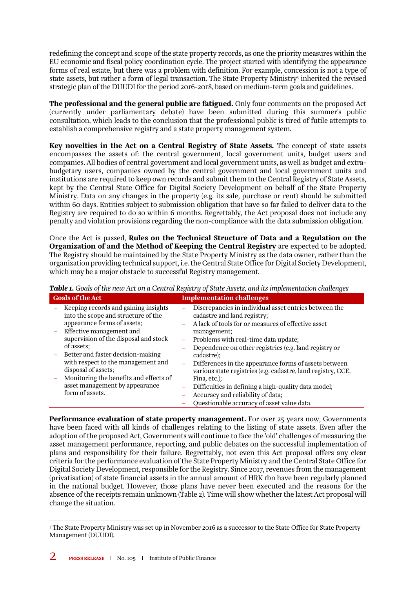redefining the concept and scope of the state property records, as one the priority measures within the EU economic and fiscal policy coordination cycle. The project started with identifying the appearance forms of real estate, but there was a problem with definition. For example, concession is not a type of state assets, but rather a form of legal transaction. The State Property Ministry<sup>3</sup> inherited the revised strategic plan of the DUUDI for the period 2016-2018, based on medium-term goals and guidelines.

The professional and the general public are fatigued. Only four comments on the proposed Act (currently under parliamentary debate) have been submitted during this summer's public consultation, which leads to the conclusion that the professional public is tired of futile attempts to establish a comprehensive registry and a state property management system.

Key novelties in the Act on a Central Registry of State Assets. The concept of state assets encompasses the assets of: the central government, local government units, budget users and companies. All bodies of central government and local government units, as well as budget and extrabudgetary users, companies owned by the central government and local government units and institutions are required to keep own records and submit them to the Central Registry of State Assets, kept by the Central State Office for Digital Society Development on behalf of the State Property Ministry. Data on any changes in the property (e.g. its sale, purchase or rent) should be submitted within 60 days. Entities subject to submission obligation that have so far failed to deliver data to the Registry are required to do so within 6 months. Regrettably, the Act proposal does not include any penalty and violation provisions regarding the non-compliance with the data submission obligation.

Once the Act is passed, Rules on the Technical Structure of Data and a Regulation on the Organization of and the Method of Keeping the Central Registry are expected to be adopted. The Registry should be maintained by the State Property Ministry as the data owner, rather than the organization providing technical support, i.e. the Central State Office for Digital Society Development, which may be a major obstacle to successful Registry management.

| <b>Goals of the Act</b> |                                                                                                            | <b>Implementation challenges</b>                                                                                                           |
|-------------------------|------------------------------------------------------------------------------------------------------------|--------------------------------------------------------------------------------------------------------------------------------------------|
|                         | Keeping records and gaining insights<br>into the scope and structure of the<br>appearance forms of assets; | Discrepancies in individual asset entries between the<br>cadastre and land registry;<br>A lack of tools for or measures of effective asset |
|                         | Effective management and                                                                                   | management;                                                                                                                                |
|                         | supervision of the disposal and stock                                                                      | Problems with real-time data update;                                                                                                       |
|                         | of assets;                                                                                                 | Dependence on other registries (e.g. land registry or                                                                                      |
|                         | Better and faster decision-making                                                                          | cadastre):                                                                                                                                 |
|                         | with respect to the management and<br>disposal of assets;                                                  | Differences in the appearance forms of assets between<br>various state registries (e.g. cadastre, land registry, CCE,                      |
|                         | Monitoring the benefits and effects of                                                                     | Fina, etc.);                                                                                                                               |
|                         | asset management by appearance                                                                             | Difficulties in defining a high-quality data model;                                                                                        |
|                         | form of assets.                                                                                            | Accuracy and reliability of data;                                                                                                          |
|                         |                                                                                                            | Questionable accuracy of asset value data.                                                                                                 |

*Table 1. Goals of the new Act on a Central Registry of State Assets, and its implementation challenges* 

Performance evaluation of state property management. For over 25 years now, Governments have been faced with all kinds of challenges relating to the listing of state assets. Even after the adoption of the proposed Act, Governments will continue to face the 'old' challenges of measuring the asset management performance, reporting, and public debates on the successful implementation of plans and responsibility for their failure. Regrettably, not even this Act proposal offers any clear criteria for the performance evaluation of the State Property Ministry and the Central State Office for Digital Society Development, responsible for the Registry. Since 2017, revenues from the management (privatisation) of state financial assets in the annual amount of HRK 1bn have been regularly planned in the national budget. However, those plans have never been executed and the reasons for the absence of the receipts remain unknown (Table 2). Time will show whether the latest Act proposal will change the situation.

<sup>-</sup>3 The State Property Ministry was set up in November 2016 as a successor to the State Office for State Property Management (DUUDI).